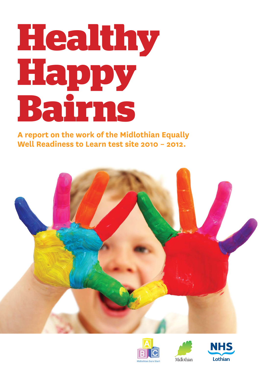# **Healthy Happy Bairns**

**A report on the work of the Midlothian Equally Well Readiness to Learn test site 2010 – 2012.**







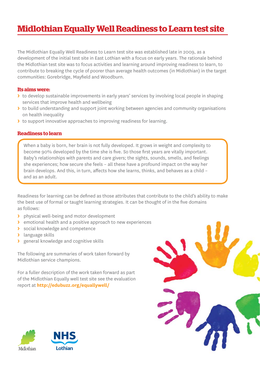### **Midlothian Equally Well Readiness to Learn test site**

The Midlothian Equally Well Readiness to Learn test site was established late in 2009, as a development of the initial test site in East Lothian with a focus on early years. The rationale behind the Midlothian test site was to focus activities and learning around improving readiness to learn, to contribute to breaking the cycle of poorer than average health outcomes (in Midlothian) in the target communities: Gorebridge, Mayfield and Woodburn.

#### **Its aims were:**

- **>** to develop sustainable improvements in early years' services by involving local people in shaping services that improve health and wellbeing
- **>** to build understanding and support joint working between agencies and community organisations on health inequality
- **>** to support innovative approaches to improving readiness for learning.

#### **Readiness to learn**

When a baby is born, her brain is not fully developed. It grows in weight and complexity to become 90% developed by the time she is five. So those first years are vitally important. Baby's relationships with parents and care givers; the sights, sounds, smells, and feelings she experiences; how secure she feels – all these have a profound impact on the way her brain develops. And this, in turn, affects how she learns, thinks, and behaves as a child and as an adult.

Readiness for learning can be defined as those attributes that contribute to the child's ability to make the best use of formal or taught learning strategies. It can be thought of in the five domains as follows:

- **>** physical well-being and motor development
- **>** emotional health and a positive approach to new experiences
- **>** social knowledge and competence
- **>** language skills
- **>** general knowledge and cognitive skills

The following are summaries of work taken forward by Midlothian service champions.

For a fuller description of the work taken forward as part of the Midlothian Equally well test site see the evaluation report at **http://edubuzz.org/equallywell/**



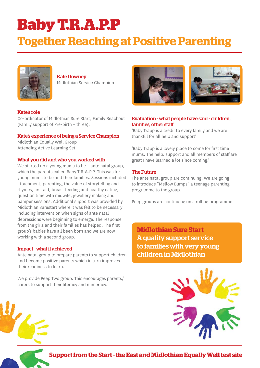### **Baby T.R.A.P.P**

### **Together Reaching at Positive Parenting**



Kate Downey Midlothian Service Champion

#### Kate's role

Co-ordinator of Midlothian Sure Start, Family Reachout (Family support of Pre-birth – three).

#### Kate's experience of being a Service Champion

Midlothian Equally Well Group Attending Active Learning Set

#### What you did and who you worked with

We started up a young mums to be - ante natal group, which the parents called Baby T.R.A.P.P. This was for young mums to be and their families. Sessions included attachment, parenting, the value of storytelling and rhymes, first aid, breast feeding and healthy eating, question time with midwife, jewellery making and pamper sessions. Additional support was provided by Midlothian Surestart where it was felt to be necessary including intervention when signs of ante natal depressions were beginning to emerge. The response from the girls and their families has helped. The first group's babies have all been born and we are now working with a second group.

#### Impact - what it achieved

Ante natal group to prepare parents to support children and become positive parents which in turn improves their readiness to learn.

We provide Peep Two group. This encourages parents/ carers to support their literacy and numeracy.





#### Evaluation - what people have said - children, families, other staff

'Baby Trapp is a credit to every family and we are thankful for all help and support'

'Baby Trapp is a lovely place to come for first time mums. The help, support and all members of staff are great I have learned a lot since coming.'

#### The Future

The ante natal group are continuing. We are going to introduce "Mellow Bumps" a teenage parenting programme to the group.

Peep groups are continuing on a rolling programme.

**Midlothian Sure Start** A quality support service to families with very young children in Midlothian



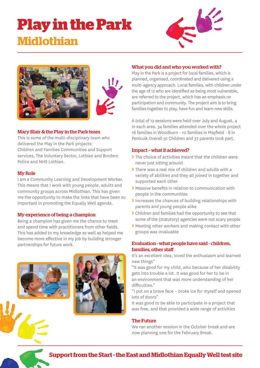### **Play in the Park Midlothian**







#### Mary Blair & the Play in the Park team

This is some of the multi-disciplinary team who delivered the Play in the Park projects: Children and Families Communities and Support services, The Voluntary Sector, Lothian and Borders Police and NHS Lothian.

#### My Role

I am a Community Learning and Development Worker. This means that I work with young people, adults and community groups across Midlothian. This has given me the opportunity to make the links that have been so important in promoting the Equally Well agenda.

#### My experience of being a champion

Being a champion has given me the chance to meet and spend time with practitioners from other fields. This has added to my knowledge as well as helped me become more effective in my job by building stronger partnerships for future work.





#### What you did and who you worked with?

Play in the Park is a project for local families, which is planned, organised, coordinated and delivered using a multi-agency approach. Local families, with children under the age of 12 who are identified as being most vulnerable. are referred to the project, which has an emphasis on participation and community. The project aim is to bring families together to play, have fun and learn new skills.

A total of 12 sessions were held over July and August, 4 in each area. 34 families attended over the whole project 16 families in Woodburn - 10 families in Mayfield - 8 in Penicuik Overall 91 Children and 37 parents took part.

#### Impact – what it achieved?

- **>** The choice of activities meant that the children were never just sitting around
- **>** There was a real mix of children and adults with a variety of abilities and they all joined in together and supported each other
- **>** Massive benefits in relation to communication with people in the communities
- **>** Increases the chances of building relationships with parents and young people alike
- **>** Children and families had the opportunity to see that some of the (statutory) agencies were not scary people
- **>** Meeting other workers and making contact with other groups was invaluable

#### Evaluation - what people have said - children, families, other staff

It's an excellent idea, loved the enthusiasm and learned new things"

"It was good for my child, who because of her disability gets into trouble a lot. It was good for her to be in an environment that was more understanding of her difficulties."

"I put on a brave face – broke ice for myself and opened lots of doors"

It was good to be able to participate in a project that was free, and that provided a wide range of activities

#### The Future

We ran another session in the October break and are now planning one for the February Break.

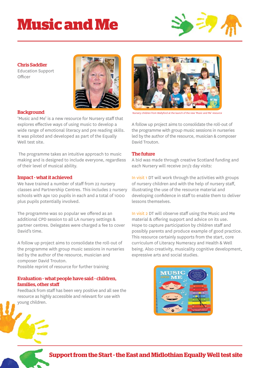## **Music and Me**



#### Chris Saddler

Education Support Officer



#### **Background**

'Music and Me' is a new resource for Nursery staff that explores effective ways of using music to develop a wide range of emotional literacy and pre reading skills. It was piloted and developed as part of the Equally Well test site.

 The programme takes an intuitive approach to music making and is designed to include everyone, regardless of their level of musical ability.

#### Impact - what it achieved

We have trained a number of staff from 22 nursery classes and Partnership Centres. This includes 2 nursery schools with apx 120 pupils in each and a total of 1000 plus pupils potentially involved.

The programme was so popular we offered as an additional CPD session to all LA nursery settings & partner centres. Delegates were charged a fee to cover David's time.

A follow up project aims to consolidate the roll-out of the programme with group music sessions in nurseries led by the author of the resource, musician and composer David Trouton.

Possible reprint of resource for further training

#### Evaluation - what people have said - children, families, other staff

Feedback from staff has been very positive and all see the resource as highly accessible and relevant for use with young children.



Nursery children from Wallyford at the launch of the new 'Music and Me' resource

A follow up project aims to consolidate the roll-out of the programme with group music sessions in nurseries led by the author of the resource, musician & composer David Trouton.

#### The future

A bid was made through creative Scotland funding and each Nursery will receive 2x1/2 day visits:

In visit 1 DT will work through the activities with groups of nursery children and with the help of nursery staff, illustrating the use of the resource material and developing confidence in staff to enable them to deliver lessons themselves.

In visit 2 DT will observe staff using the Music and Me material & offering support and advice on its use. Hope to capture participation by children staff and possibly parents and produce example of good practice. This resource certainly supports from the start, core curriculum of Literacy Numeracy and Health & Well being. Also creativity, musicality cognitive development, expressive arts and social studies.

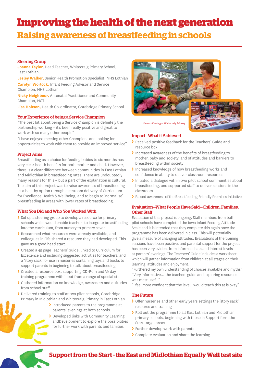### **Improving the health of the next generation Raising awareness of breastfeeding in schools**

#### Steering Group

**Joanna Taylor,** Head Teacher, Whitecraig Primary School, East Lothian

**Lesley Walker,** Senior Health Promotion Specialist, NHS Lothian

**Carolyn Worlock,** Infant Feeding Advisor and Service Champion, NHS Lothian

**Nicky Neighbour,** Antenatal Practitioner and Community Champion, NCT

**Lisa Hobson,** Health Co-ordinator, Gorebridge Primary School

#### Your Experience of being a Service Champion

"The best bit about being a Service Champion is definitely the partnership working – it's been really positive and great to work with so many other people"

"I have enjoyed meeting other Champions and looking for opportunities to work with them to provide an improved service"

#### Project Aims

Breastfeeding as a choice for feeding babies to six months has very clear health benefits for both mother and child. However, there is a clear difference between communities in East Lothian and Midlothian in breastfeeding rates. There are undoubtedly many reasons for this – but a part of the explanation is cultural. The aim of this project was to raise awareness of breastfeeding as a healthy option through classroom delivery of Curriculum for Excellence Health & Wellbeing, and to begin to 'normalise' breastfeeding in areas with lower rates of breastfeeding.

#### What You Did and Who You Worked With

- **>** Set up a steering group to develop a resource for primary schools which would enable teachers to integrate breastfeeding into the curriculum, from nursery to primary seven.
- **>** Researched what resources were already available, and colleagues in Fife shared a resource they had developed. This gave us a good head start.
- **>** Created a 45 page Teachers' Guide, linked to Curriculum for Excellence and including suggested activities for teachers, and a 'story sack' for use in nurseries containing toys and books to support parents in beginning to talk about breastfeeding
- **>** Created a resource box, supporting CD-Rom and ½ day training programme with input from a range of specialists
- **>** Gathered information on knowledge, awareness and attitudes from school staff
- **>** Delivered training to staff at two pilot schools, Gorebridge Primary in Midlothian and Whitecraig Primary in East Lothian
	- **>** Introduced parents to the programme at parents' evenings at both schools
	- **>** Developed links with Community Learning andDevelopment to explore the possibilities for further work with parents and families



#### Impact—What it Achieved

- **>** Received positive feedback for the Teachers' Guide and resource box
- Increased awareness of the benefits of breastfeeding to mother, baby and society, and of attitudes and barriers to breastfeeding within society
- **>** Increased knowledge of how breastfeeding works and confidence in ability to deliver classroom resources
- **>** Initiated a dialogue within two pilot school communities about breastfeeding, and supported staff to deliver sessions in the classroom
- **>** Raised awareness of the Breastfeeding Friendly Premises initiative

#### Evaluation—What People Have Said—Children, Families, Other Staff

Evaluation of this project is ongoing. Staff members from both pilot schools have completed the Iowa Infant Feeding Attitude Scale and it is intended that they complete this again once the programme has been delivered in class. This will potentially give a measure of changing attitudes. Evaluations of the training sessions have been positive, and parental support for the project has been very evident from informal chats and interest levels at parents' evenings. The Teachers' Guide includes a worksheet which will gather information from children at all stages on their learning, attitudes and enjoyment.

"Furthered my own understanding of choices available and myths" "Very informative….the teachers guide and exploring resources was most useful"

"I feel more confident that the level I would teach this at is okay"

#### The Future

- > Offer nurseries and other early years settings the 'story sack' resource and training
- **>** Roll out the programme to all East Lothian and Midlothian primary schools, beginning with those in Support form the Start target areas
- **>** Further develop work with parents
- **>** Complete evaluation and share the learning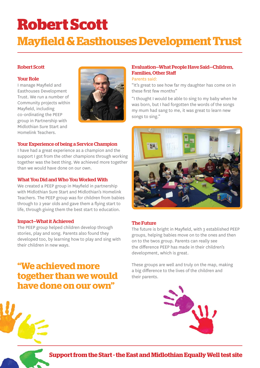# **Robert Scott**

### **Mayfi eld & Easthouses Development Trust**

#### Robert Scott

#### Your Role

I manage Mayfield and Easthouses Development Trust. We run a number of Community projects within Mayfield, including co-ordinating the PEEP group in Partnership with Midlothian Sure Start and Homelink Teachers.



#### Your Experience of being a Service Champion

I have had a great experience as a champion and the support I got from the other champions through working together was the best thing. We achieved more together than we would have done on our own.

#### What You Did and Who You Worked With

We created a PEEP group in Mayfield in partnership with Midlothian Sure Start and Midlothian's Homelink Teachers. The PEEP group was for children from babies through to 2 year olds and gave them a flying start to life, through giving them the best start to education.

#### Impact—What it Achieved

The PEEP group helped children develop through stories, play and song. Parents also found they developed too, by learning how to play and sing with their children in new ways.

### **"We achieved more together than we would have done on our own"**

#### Evaluation—What People Have Said—Children, Families, Other Staff

#### Parents said:

"It's great to see how far my daughter has come on in these first few months"

"I thought I would be able to sing to my baby when he was born, but I had forgotten the words of the songs my mum had sang to me, it was great to learn new songs to sing."



#### The Future

The future is bright in Mayfield, with 3 established PEEP groups, helping babies move on to the ones and then on to the twos group. Parents can really see the difference PEEP has made in their children's development, which is great.

These groups are well and truly on the map, making a big difference to the lives of the children and their parents.



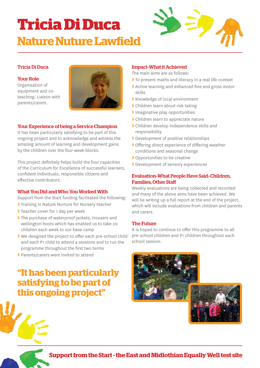### **Tricia Di Duca Nature Nuture Lawfield**



#### Tricia Di Duca

#### Your Role

Organisation of equipment and coteaching. Liaison with parents/carers.



#### Your Experience of being a Service Champion

It has been particularly satisfying to be part of this ongoing project and to acknowledge and witness the amazing amount of learning and development gains by the children over the four week blocks.

This project definitely helps build the four capacities of the Curriculum for Excellence of successful learners, confident individuals, responsible citizens and effective contributors.

#### What You Did and Who You Worked With

Support from the Start funding facilitated the following:

- **>** Training in Nature Nurture for Nursery teacher
- **>** Teacher cover for 1 day per week
- **>** The purchase of waterproof jackets, trousers and wellington boots which has enabled us to take 20 children each week to our base camp
- If We designed the project to offer each pre-school child and each P1 child to attend 4 sessions and to run the programme throughout the first two terms
- **>** Parents/carers were invited to attend

### **"It has been particularly satisfying to be part of this ongoing project"**

#### Impact–What it Achieved

The main aims are as follows:

- **>** To present maths and literacy in a real life context
- If Active learning and enhanced fine and gross motor skills
- **>** Knowledge of local environment
- **>** Children learn about risk taking
- **>** Imaginative play opportunities
- **>** Children learn to appreciate nature
- **>** Children develop independence skills and responsibility
- **>** Development of positive relationships
- **>** Offering direct experience of differing weather conditions and seasonal change
- **>** Opportunities to be creative
- **>** Development of sensory experiences

#### Evaluation–What People Have Said–Children, Families, Other Staff

Weekly evaluations are being collected and recorded and many of the above aims have been achieved. We will be writing up a full report at the end of the project, which will include evaluations from children and parents and carers.

#### The Future

It is hoped to continue to offer this programme to all pre-school children and P1 children throughout each school session.



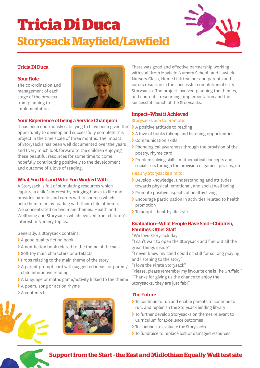### **Tricia Di Duca Storysack Mayfield/Lawfield**



#### Tricia Di Duca

#### Your Role

The co-ordination and management of each stage of the process from planning to implementation.



#### Your Experience of being a Service Champion

It has been enormously satisfying to have been given the opportunity to develop and successfully complete this project in the time scale of three months. The impact of Storysacks has been well documented over the years and I very much look forward to the children enjoying these beautiful resources for some time to come, hopefully contributing positively to the development and outcome of a love of reading.

#### What You Did and Who You Worked With

A Storysack is full of stimulating resources which capture a child's interest by bringing books to life and provides parents and carers with resources which help them to enjoy reading with their child at home. We concentrated on two main themes: Health and Wellbeing and Storysacks which evolved from children's interest in Nursery topics.

Generally, a Storysack contains:

- > A good quality fiction book
- > A non-fiction book related to the theme of the sack
- **>** Soft toy main characters or artefacts
- **>** Props relating to the main theme of the story
- **>** A parent prompt card with suggested ideas for parent/ child interactive reading
- **>** A language or maths game/activity linked to the theme
- **>** A poem, song or action rhyme
- **>** A contents list





There was good and effective partnership working with staff from Mayfield Nursery School, and Lawfield Nursery Class, Home Link teacher and parents and carers resulting in the successful completion of sixty Storysacks. The project involved planning the themes, and contents, resourcing, implementation and the successful launch of the Storysacks.

#### Impact—What it Achieved

#### Storysacks aim to promote:

- **>** A positive attitude to reading
- **>** A love of books talking and listening opportunities
- **>** Communication skills
- **>** Phonological awareness through the provision of the poetry, rhyme card
- **>** Problem solving skills, mathematical concepts and social skils through the provision of games, puzzles, etc

#### Healthy Storysacks aim to:

- **>** Develop knowledge, understanding and attitudes towards physical, emotional, and social well being
- **>** Promote positive aspects of healthy living
- **>** Encourage participation in activities related to health promotion
- **>** To adopt a healthy lifestyle

#### Evaluation—What People Have Said—Children, Families, Other Staff

- "We love Storysack day!"
- "I can't wait to open the Storysack and find out all the great things inside"
- "I never knew my child could sit still for so long playing and listening to the story"
- "I love the Pirate Storysack"
- "Please, please remember my favourite one is The Gruffalo!"
- "Thanks for giving us the chance to enjoy the Storysacks, they are just fab!"

#### The Future

- **>** To continue to run and enable parents to continue to run, and replenish the Storysack lending library
- **>** To further develop Storysacks on themes relevant to Curriculum for Excellence outcomes
- **>** To continue to evaluate the Storysacks
- **>** To fundraise to replace lost or damaged resources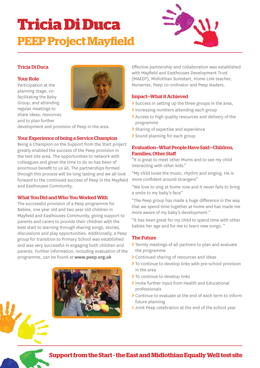### **Tricia Di Duca PEEP Project Mayfield**



#### Tricia Di Duca

#### Your Role

Participation at the planning stage, cofacilitating the Baby Group, and attending regular meetings to share ideas, resources and to plan further



development and provision of Peep in the area.

#### Your Experience of being a Service Champion

Being a Champion on the Support from the Start project greatly enabled the success of the Peep provision in the test site area. The opportunities to network with colleagues and given the time to do so has been of enormous benefit to us all. The partnerships formed through this process will be long lasting and we all look forward to the continued success of Peep in the Mayfield and Easthouses Community.

#### What You Did and Who You Worked With

The successful provision of a Peep programme for Babies, one year old and two year old children in Mayfield and Easthouses Community, giving support to parents and carers to provide their children with the best start to learning through sharing songs, stories, discussions and play opportunities. Additionally, a Peep group for transition to Primary School was established and was very successful in engaging both children and parents. Further information, including evaluation of the programme, can be found at **www.peep.org.uk**



Effective partnership and collaboration was established with Mayfield and Easthouses Development Trust (MAEDT), Midlothian Surestart, Home Link teacher, Nurseries, Peep co-ordinator and Peep leaders.

#### Impact—What it Achieved

- **>** Success in setting up the three groups in the area,
- **>** Increasing numbers attending each group
- **>** Access to high quality resources and delivery of the programme
- **>** Sharing of expertise and experience
- **>** Sound planning for each group

#### Evaluation—What People Have Said—Children, Families, Other Staff

"It is great to meet other Mums and to see my child interacting with other kids."

"My child loves the music, rhythm and singing. He is more confident around strangers"

"We love to sing at home now and it never fails to bring a smile to my baby's face"

"The Peep group has made a huge difference in the way that we spend time together at home and has made me more aware of my baby's development."

"It has been great for my child to spend time with other babies her age and for me to learn new songs. "

#### The Future

- **>** Termly meetings of all partners to plan and evaluate the programme
- **>** Continued sharing of resources and ideas
- **>** To continue to develop links with pre-school provision in the area
- **>** To continue to develop links
- **>** Invite further input from Health and Educational professionals
- **>** Continue to evaluate at the end of each term to inform future planning
- **>** Joint Peep celebration at the end of the school year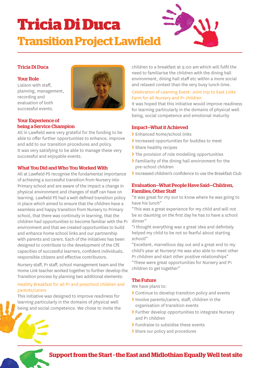### **Tricia Di Duca Transition Project Lawfield**

#### Tricia Di Duca

#### Your Role

Liaison with staff. planning, management, recording and evaluation of both successful events.



#### Your Experience of being a Service Champion

All in Lawfield were very grateful for the funding to be able to offer further opportunities to enhance, improve and add to our transition procedures and policy. It was very satisfying to be able to manage these very successful and enjoyable events.

#### What You Did and Who You Worked With

All at Lawfield PS recognise the fundamental importance of achieving a successful transition from Nursery into Primary school and are aware of the impact a change in physical environment and changes of staff can have on learning. Lawfield PS had a well defined transition policy in place which aimed to ensure that the children have a seamless and happy transition from Nursery to Primary school, that there was continuity in learning, that the children had opportunities to become familiar with the P1 environment and that we created opportunities to build and enhance home school links and our partnership with parents and carers. Each of the initiatives has been designed to contribute to the development of the CfE capacities of successful learners, confident individuals, responsible citizens and effective contributors.

Nursery staff, P1 staff, school management team and the Home Link teacher worked together to further develop the Transition process by planning two additional elements:

#### Healthy Breakfast for all P1 and preschool children and parents/carers

This initiative was designed to improve readiness for learning particularly in the domains of physical well being and social competence. We chose to invite the children to a breakfast at 9.00 am which will fulfil the need to familiarise the children with the dining hall environment, dining hall staff etc within a more social and relaxed context than the very busy lunch time.

#### Celebration of Learning Event: Joint trip to East Links Farm for all Nursery and P1 children

It was hoped that this initiative would improve readiness for learning particularly in the domains of physical well being, social competence and emotional maturity

#### Impact—What it Achieved

- **>** Enhanced home/school links
- **>** Increased opportunities for buddies to meet
- **>** Share healthy recipes
- **>** The provision of role modelling opportunities
- **>** Familiarity of the dining hall environment for the pre-school children
- Increased children's confidence to use the Breakfast Club

#### Evaluation—What People Have Said—Children, Families, Other Staff

"It was great for my son to know where he was going to have his lunch"

"This was a great experience for my child and will not be so daunting on the first day he has to have a school dinner"

"I thought everything was a great idea and definitely helped my child to be not so fearful about starting school!"

"Excellent, marvellous day out and a great end to my child's year at Nursery! He was also able to meet other P1 children and start other positive relationships"

"These were great opportunities for Nursery and P1 children to get together"

#### The Future

We have plans to:

- **>** Continue to develop transition policy and events
- **>** Involve parents/carers, staff , children in the organisation of transition events
- **>** Further develop opportunities to integrate Nursery and P1 children
- **>** Fundraise to subsidise these events
- **>** Share our policy and procedures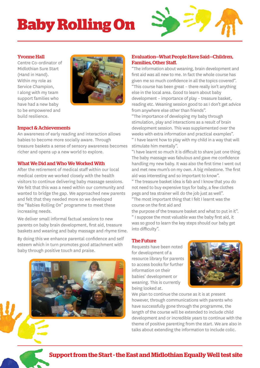# **Baby Rolling On**



#### Yvonne Hall

Centre Co-ordinator of Midlothian Sure Start (Hand in Hand). Within my role as Service Champion, I along with my team support families who have had a new baby to be empowered and build resilience.



#### Impact & Achievements

An awareness of early reading and interaction allows babies to become more socially aware. Through treasure baskets a sense of sensory awareness becomes richer and opens up a new world to explore.

#### What We Did and Who We Worked With

After the retirement of medical staff within our local medical centre we worked closely with the health visitors to continue delivering baby massage sessions. We felt that this was a need within our community and wanted to bridge the gap. We approached new parents and felt that they needed more so we developed the "Babies Rolling On" programme to meet these increasing needs.

We deliver small informal factual sessions to new parents on baby brain development, first aid, treasure baskets and weaning and baby massage and rhyme time.

By doing this we enhance parental confidence and self esteem which in turn promotes good attachment with baby through positive touch and praise.



#### Evaluation—What People Have Said—Children, Families, Other Staff.

"The information about weaning, brain development and first aid was all new to me. In fact the whole course has given me so much confidence in all the topics covered". "This course has been great – there really isn't anything else in the local area. Good to learn about baby development – importance of play – treasure basket, reading etc. Weaning session good to as I don't get advice from anywhere else other than friends".

"The importance of developing my baby through stimulation, play and interactions as a result of brain development session. This was supplemented over the weeks with extra information and practical examples". " I have learnt how to play with my child in a way that will

stimulate him mentally".

"I have learnt so much it is difficult to share just one thing. The baby massage was fabulous and gave me confidence handling my new baby. It was also the first time I went out and met new mum's on my own. A big milestone. The first aid was interesting and so important to know".

" The treasure basket idea is fab and I know that you do not need to buy expensive toys for baby, a few clothes pegs and tea strainer will do the job just as well". "The most important thing that I felt I learnt was the course on the first aid and

the purpose of the treasure basket and what to put in it". " I suppose the most valuable was the baby first aid, it was so good to learn the key steps should our baby get into difficulty".

#### The Future

Requests have been noted for development of a resource library for parents to access books for further information on their babies' development or weaning. This is currently being looked at.



We plan to continue the course as it is at present however, through communications with parents who have successfully gone through the programme, the length of the course will be extended to include child development and or incredible years to continue with the theme of positive parenting from the start. We are also in talks about extending the information to include colic.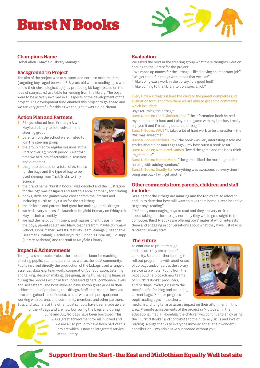### **Burst N Books**



#### Champions Name

Isobel Allen - Mayfield Library Manager

#### Background To Project

The aim of the project was to support and enthuse male readers (targeting boys aged between 6-8 years old whose reading ages were below their chronological age) by producing kit bags (based on the idea of storysacks) available for lending from the library. The boys were to be actively involved in all aspects of the development of the project. The development fund enabled this project to go ahead and we are very grateful for this as we thought it was a pipe-dream

#### Action Plan and Partners

- **>** 8 boys selected from Primary 3 & 4 at Mayfield Library to be involved in the steering group
- **>** parents from the school were invited to join the steering group
- **>** the group met for regular sessions at the library over a 3 month period. Over that time we had lots of activities, discussion and outcomes
- **>** the group decided on a total of 20 topics for the bags and the type of bag to be used ranging from Trick Tricks to Silly Science
- **>** the brand name "burst n books" was decided and the illustration for the logo was designed and sent to a local company for printing
- **>** books, dvds and games were chosen from the internet and including a visit to Toys R Us for the 20 kitbags
- **>** the children and parents had great fun making up the kitbags
- **▶** we had a very successful launch at Mayfield Primary on Friday 4th May at their assembly
- **>** we had the help, commitment and masses of enthusiasm from the boys, parents Leigh and Mary, teachers from Mayfield Primary School, Fiona Maher (Arts & Creativity Team Manager), Stephanie Heasman ( Malani), Rachel Dryburgh (Schools Librarian), Ed Jupp (Library Assistant) and the staff at Mayfield Library

#### Impact & Achievements

Through a small scale project the impact has been far reaching, affecting pupils, staff and parents, as well as the local community. Pupils involved directly the production of the kitbags used a range of essential skills e.g. teamwork, cooperation/collaboration, listening and talking, decision making, designing, using IT, managing finances during the process which in turn increased general confidence levels and self esteem. The boys involved have shown great pride in their achievements of producing the kitbags. Staff and teachers involved have also gained in confidence, as this was a unique experience working with parents and community members and other partners. Boys and teachers at the other local schools have been made aware of the kitbags and are now borrowing the bags and during June and July 80 bags have been borrowed. This was a great achievement for all involved and we are all so proud to have been part of this project which is now an integrated service at the library.

#### Evaluation

We asked the boys in the steering group what there thoughts were on coming to the library for the project:

 "We made up names for the kitbags. I liked having an important job" "We get to do fun things with books that we like!"

- "I like doing extra work in the library. It is good fun!!"
- "I like coming to the library to do a special job"

#### Every time a kitbag is issued the child or the parent completes and evaluation form and from there we are able to get some comments which included:

Boys returning the Kitbags:

Burst N Books: Food Glorious Food "The information book helped my mum to cook food and I played the game with my brother. I really enjoyed it and I'm taking out another bag!"

Burst N Books: WWE "It takes a lot of hard work to be a wrestler – the DVD was awesome"

Burst N Books: TerribleT-Rex "the book was very interesting it told me stories about dinosaurs ages ago – my best burst n book so far"

Burst N Books; Not Bored Games "loved the game and the book think its great idea"

Burst N Books: Mental Maths "the game I liked the most – good for helping with adding numbers"

Burst N Books: Deadly 60 "everything was awesome, so every time I bring one back I will get another!"

#### Other comments from parents, children and staff include:

"As a parent the kitbags are amazing and the topics are so relevant and up to date that boys will want to take them home. Great incentive to get boys reading"

"Definitely encouraging boys to read and they are very excited about taking out the kitbags, normally they would go straight to the computer. Burst N Books are offering boys' material which interests them and engaging in conversations about what they have just read is fantastic" library staff

#### The Future

To continue to promote bags and ensure they are used to full capacity. Secure further funding to roll out programme with another set of 20 bags and/or across the library service as a whole. Pupils from the pilot could help coach new teams of "Burst N Books" producers, and perhaps involve girls with the benefits of refreshing and extending current bags. Monitor progress of pupil reading ages in the short,



medium and long term to assess impact on their attainment in this area. Promote achievements of the project in Midlothian in the educational media. Hopefully the children will continue to enjoy using the "Burst N Books" and contribute to their literacy skills and love of reading. A huge thanks to everyone involved for all their wonderful contribution – wouldn't have succeeded without you!



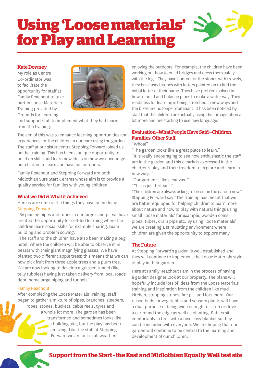# **Using 'Loose materials' for Play and Learning**

#### Kate Downey

My role as Centre Co-ordinator was to facilitate the opportunity for staff at Family Reachout to take part in Loose Materials Training provided by Grounds for Learning



and support staff to implement what they had learnt from the training.

The aim of this was to enhance learning opportunities and experiences for the children in our care using the garden. The staff at our sister centre Stepping Forward joined us on the training. This has been a unique opportunity to build on skills and learn new ideas on how we encourage our children to learn and have fun outdoors.

Family Reachout and Stepping Forward are both Midlothian Sure Start Centres whose aim is to provide a quality service for families with young children.

#### What we Did & What it Achieved

Here is are some of the things they have been doing: Stepping Forward

"By placing pipes and tubes in our large sand pit we have created the opportunity for self-led learning where the children learn social skills for example sharing, team building and problem solving."

"The staff and the children have also been making a bug hotel, where the children will be able to observe mini beasts with their giant magnifying glasses. We have planted two different apple trees; this means that we can now pick fruit from three apple trees and a plum tree. We are now looking to develop a grassed tunnel (like telly tubbies) having just taken delivery from local roads dept. some large piping and tunnels"

#### Family Reachout

After completing the Loose Materials Training, staff began to gather a mixture of pipes, branches, sleepers, ropes, stones, buckets, cable reels, tyres and a whole lot more. The garden has been transformed and sometimes looks like a building site, but the play has been amazing. Like the staff at Stepping Forward we are out in all weathers

enjoying the outdoors. For example, the children have been working out how to build bridges and cross them safely with the logs. They have hunted for the stones with trowels, they have used stones with letters painted on to find the initial letter of their name. They have problem solved in how to build and balance pipes to make a water way. Their readiness for learning is being stretched in new ways and the bikes are no longer dominant. It has been noticed by staff that the children are actually using their imagination a lot more and are starting to use new language.

#### Evaluation—What People Have Said—Children, Families, Other Staff.

"Whoa!"

"The garden looks like a great place to learn." "It is really encouraging to see how enthusiastic the staff are in the garden and this clearly is expressed in the

children's play and their freedom to explore and learn in new ways."

"Our garden is like a canvas ."

"This is just brilliant."

"The children are always asking to be out in the garden now." Stepping Forward say "The training has meant that we are better equipped for helping children to learn more about nature and how to play with natural things using small 'loose materials' for example, wooden coins, pipes, tubes, drain pipe etc. By using 'loose materials' we are creating a stimulating environment where children are given the opportunity to explore many

#### The Future

At Stepping Forward's garden is well established and they will continue to implement the Loose Materials style of play in their garden.

Here at Family Reachout I am in the process of having a garden designer look at our property. The plans will hopefully include lots of ideas from the Loose Materials training and inspiration from the children like mud kitchen, stepping stones, fire pit, and lots more. Our raised beds for vegetables and sensory plants will have a dual purpose of being wide enough to sit on or drive a car round the edge as well as planting. Babies sit comfortably in tires with a nice cosy blanket so they can be included with everyone. We are hoping that our garden will continue to be central to the learning and development of our children.

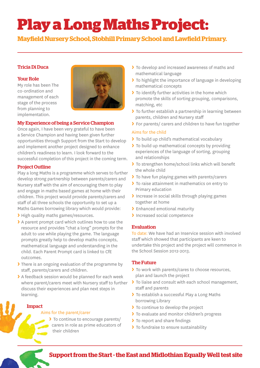# **Play a Long Maths Project:**

**Mayfield Nursery School, Stobhill Primary School and Lawfield Primary.** 

#### Tricia Di Duca

#### Your Role

My role has been The co-ordination and management of each stage of the process from planning to implementation.



#### My Experience of being a Service Champion

Once again, I have been very grateful to have been a Service Champion and having been given further opportunities through Support from the Start to develop and implement another project designed to enhance children's readiness to learn. I look forward to the successful completion of this project in the coming term.

#### Project Outline

Play a long Maths is a programme which serves to further develop strong partnership between parents/carers and Nursery staff with the aim of encouraging them to play and engage in maths based games at home with their children. This project would provide parents/carers and staff of all three schools the opportunity to set up a Maths Games borrowing library which would provide:

- **>** High quality maths games/resources.
- **>** A parent prompt card which outlines how to use the resource and provides "chat a long" prompts for the adult to use while playing the game. The language prompts greatly help to develop maths concepts, mathematical language and understanding in the child. Each Parent Prompt card is linked to CfE outcomes.
- **>** There is an ongoing evaluation of the programme by staff, parents/carers and children.
- **>** A feedback session would be planned for each week where parent/carers meet with Nursery staff to further discuss their experiences and plan next steps in learning.

Impact

#### Aims for the parent/carer

**>** To continue to encourage parents/ carers in role as prime educators of their children

- **>** To develop and increased awareness of maths and mathematical language
- **>** To highlight the importance of language in developing mathematical concepts
- **>** To identify further activities in the home which promote the skills of sorting grouping, comparisons, matching, etc
- **>** To further establish a partnership in learning between parents, children and Nursery staff
- **>** For parents/ carers and children to have fun together

#### Aims for the child

- **>** To build up child's mathematical vocabulary
- **>** To build up mathematical concepts by providing experiences of the language of sorting, grouping and relationships
- > To strengthen home/school links which will benefit the whole child
- **>** To have fun playing games with parents/carers
- **>** To raise attainment in mathematics on entry to Primary education
- **>** Increase in social skills through playing games together at home
- **>** Enhanced emotional maturity
- **>** Increased social competence

#### Evaluation

To date: We have had an Inservice session with involved staff which showed that participants are keen to undertake this project and the project will commence in the School Session 2012-2013.

#### The Future

- **>** To work with parents/cares to choose resources, plan and launch the project
- **>** To liaise and consult with each school management, staff and parents
- **>** To establish a successful Play a Long Maths borrowing Library
- **>** To continue to develop the project
- **>** To evaluate and monitor children's progress
- > To report and share findings
- **>** To fundraise to ensure sustainability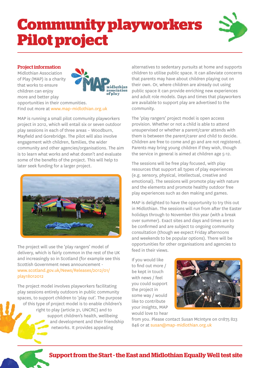# **Community playworkers Pilot project**



#### Project information

Midlothian Association of Play (MAP) is a charity that works to ensure children can enjoy more and better play opportunities in their communities. Find out more at www.map-midlothian.org.uk



MAP is running a small pilot community playworkers project in 2012, which will entail six or seven outdoor play sessions in each of three areas – Woodburn, Mayfield and Gorebridge. The pilot will also involve engagement with children, families, the wider community and other agencies/organisations. The aim is to learn what works and what doesn't and evaluate some of the benefits of the project. This will help to later seek funding for a larger project.



The project will use the 'play rangers' model of delivery, which is fairly common in the rest of the UK and increasingly so in Scotland (for example see this Scottish Government news announcement www.scotland.gov.uk/News/Releases/2012/01/ play18012012

The project model involves playworkers facilitating play sessions entirely outdoors in public community spaces, to support children to 'play out'. The purpose of this type of project model is to enable children's right to play (article 31, UNCRC) and to support children's health, wellbeing and development and their friendship networks. It provides appealing

alternatives to sedentary pursuits at home and supports children to utilise public space. It can alleviate concerns that parents may have about children playing out on their own. Or, where children are already out using public space it can provide enriching new experiences and adult role models. Days and times that playworkers are available to support play are advertised to the community.

The 'play rangers' project model is open access provision. Whether or not a child is able to attend unsupervised or whether a parent/carer attends with them is between the parent/carer and child to decide. Children are free to come and go and are not registered. Parents may bring young children if they wish, though the service in general is aimed at children age 5-12.

The sessions will be free play focused, with play resources that support all types of play experiences (e.g. sensory, physical, intellectual, creative and emotional). The sessions will promote play with nature and the elements and promote healthy outdoor free play experiences such as den making and games.

MAP is delighted to have the opportunity to try this out in Midlothian. The sessions will run from after the Easter holidays through to November this year (with a break over summer). Exact sites and days and times are to be confirmed and are subject to ongoing community consultation (though we expect Friday afternoons and weekends to be popular options). There will be opportunities for other organisations and agencies to feed in their views.

If you would like to find out more / be kept in touch with news / feel you could support the project in some way / would like to contribute your insights, MAP would love to hear



from you. Please contact Susan McIntyre on 01875 823 846 or at susan@map-midlothian.org.uk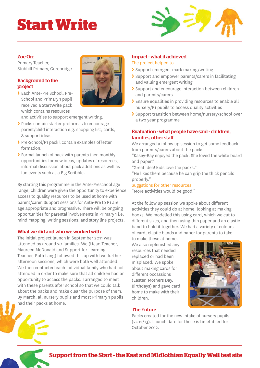# **Start Write**



#### Zoe Orr

Primary Teacher, Stobhill Primary, Gorebridge

#### Background to the project

**>** Each Ante-Pre School, Pre-School and Primary 1 pupil received a StartWrite pack which contains resources



and activities to support emergent writing.

- **>** Packs contain starter proformas to encourage parent/child interaction e.g. shopping list, cards, & support ideas.
- **>** Pre-School/P1 pack l contain examples of letter formation.
- **>** Formal launch of pack with parents then monthly opportunities for new ideas, updates of resources, informal discussion about pack additions as well as fun events such as a Big Scribble.

By starting this programme in the Ante-Preschool age range, children were given the opportunity to experience access to quality resources to be used at home with parent/carer. Support sessions for Ante-Pre to P1 are age appropriate and progressive. There will be ongoing opportunities for parental involvements in Primary 1 i.e. mind mapping, writing sessions, and story line projects.

#### What we did and who we worked with

The initial project launch in September 2011 was attended by around 20 families. We (Head Teacher, Maureen McDonald and Support for Learning Teacher, Ruth Lang) followed this up with two further afternoon sessions, which were both well attended. We then contacted each individual family who had not attended in order to make sure that all children had an opportunity to access the packs. I arranged to meet with these parents after school so that we could talk about the packs and make clear the purpose of them. By March, all nursery pupils and most Primary 1 pupils had their packs at home.

#### Impact - what it achieved

#### The project helped to

- **>** Support emergent mark making/writing
- **>** Support and empower parents/carers in facilitating and valuing emergent writing
- **>** Support and encourage interaction between children and parents/carers
- **>** Ensure equalities in providing resources to enable all nursery/P1 pupils to access quality activities
- **>** Support transition between home/nursery/school over a two year programme

#### Evaluation - what people have said - children, families, other staff

We arranged a follow up session to get some feedback from parents/carers about the packs.

"Kasey-Ray enjoyed the pack. She loved the white board and paper."

"Great idea! Kids love the packs."

"He likes them because he can grip the thick pencils properly."

#### Suggstions for other resources:

"More activities would be good."

At the follow up session we spoke about different activities they could do at home, looking at making books. We modelled this using card, which we cut to different sizes, and then using thin paper and an elastic band to hold it together. We had a variety of colours of card, elastic bands and paper for parents to take

to make these at home. We also replenished any resources that needed replaced or had been misplaced. We spoke about making cards for different occassions (Easter, Mothers Day, Birthdays) and gave card home to make with their children.



The Future

Packs created for the new intake of nursery pupils (2012/13). Launch date for these is timetabled for October 2012.

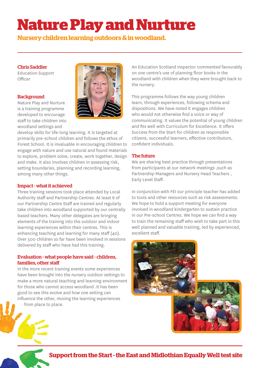### **Nature Play and Nurture**

**Nursery children learning outdoors & in woodland.**

#### Chris Saddler

Education Support Officer

#### **Background**

Nature Play and Nurture is a training programme developed to encourage staff to take children into woodland settings and



develop skills for life-long learning. It is targeted at primarily pre-school children and follows the ethos of Forest School. It is invaluable in encouraging children to engage with nature and use natural and found materials to explore, problem solve, create, work together, design and make. It also involves children in assessing risk, setting boundaries, planning and recording learning, among many other things.

#### Impact - what it achieved

Three training sessions took place attended by Local Authority staff and Partnership Centres. At least 8 of our Partnership Centre Staff are trained and regularly take children into woodland supported by our centrally based teachers. Many other delegates are bringing elements of the training into the outdoor and indoor learning experiences within their centres. This is enhancing teaching and learning for many staff (40). Over 500 children so far have been involved in sessions delivered by staff who have had this training.

#### Evaluation - what people have said - children, families, other staff

In the more recent training events some experiences have been brought into the nursery outdoor settings to make a more natural teaching and learning environment for those who cannot access woodland .It has been good to see this evolve and how one setting can influence the other, moving the learning experiences from place to place.

An Education Scotland Inspector commented favourably on one centre's use of planning floor books in the woodland with children when they were brought back to the nursery.

This programme follows the way young children learn, through experiences, following schema and dispositions. We have noted it engages children who would not otherwise find a voice or way of communicating. It values the potential of young children and fits well with Curriculum for Excellence. It offers Success from the Start for children as responsible citizens, successful learners, effective contributors, confident individuals.

#### The future

We are sharing best practice through presentations from participants at our network meetings ,such as Partnership Managers and Nursery Head Teachers , Early Level Staff.

In conjunction with FEI our principle teacher has added to tools and other resources such as risk assessments. We hope to hold a support meeting for everyone involved in woodland kindergarten to sustain practice in our Pre-school Centres. We hope we can find a way to train the remaining staff who wish to take part in this well planned and valuable training, led by experienced, excellent staff.

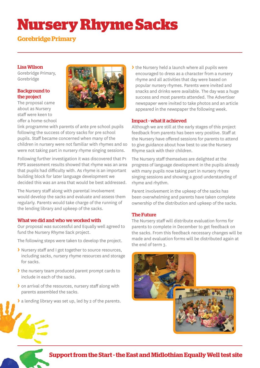### **Nursery Rhyme Sacks**

#### **Gorebridge Primary**

#### Lisa Wilson

Gorebridge Primary, Gorebridge

#### Background to the project

The proposal came about as Nursery staff were keen to offer a home-school



link programme with parents of ante pre school pupils following the success of story sacks for pre school pupils. Staff became concerned when many of the children in nursery were not familiar with rhymes and so were not taking part in nursery rhyme singing sessions.

Following further investigation it was discovered that P1 PIPS assessment results showed that rhyme was an area that pupils had difficulty with. As rhyme is an important building block for later language development we decided this was an area that would be best addressed.

The Nursery staff along with parental involvement would develop the sacks and evaluate and assess them regularly. Parents would take charge of the running of the lending library and upkeep of the sacks.

#### What we did and who we worked with

Our proposal was successful and Equally well agreed to fund the Nursery Rhyme Sack project.

The following steps were taken to develop the project.

- **>** Nursery staff and I got together to source resources, including sacks, nursery rhyme resources and storage for sacks.
- **>** the nursery team produced parent prompt cards to include in each of the sacks.
- **>** on arrival of the resources, nursery staff along with parents assembled the sacks.
- **>** a lending library was set up, led by 2 of the parents.

**>** the Nursery held a launch where all pupils were encouraged to dress as a character from a nursery rhyme and all activities that day were based on popular nursery rhymes. Parents were invited and snacks and drinks were available. The day was a huge success and most parents attended. The Advertiser newspaper were invited to take photos and an article appeared in the newspaper the following week.

#### Impact - what it achieved

Although we are still at the early stages of this project feedback from parents has been very positive. Staff at the Nursery have offered sessions for parents to attend to give guidance about how best to use the Nursery Rhyme sack with their children.

The Nursery staff themselves are delighted at the progress of language development in the pupils already with many pupils now taking part in nursery rhyme singing sessions and showing a good understanding of rhyme and rhythm.

Parent involvement in the upkeep of the sacks has been overwhelming and parents have taken complete ownership of the distribution and upkeep of the sacks.

#### The Future

The Nursery staff will distribute evaluation forms for parents to complete in December to get feedback on the sacks. From this feedback necessary changes will be made and evaluation forms will be distributed again at the end of term 3.

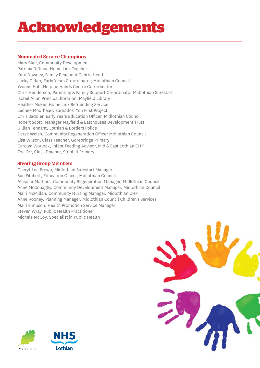# **Acknowledgements**

#### Nominated Service Champions

Mary Blair, Community Development Patricia DiDuca, Home Link Teacher Kate Downey, Family Reachout Centre Head Jacky Gillan, Early Years Co-ordinator, Midlothian Council Yvonne Hall, Helping Hands Centre Co-ordinator Chris Henderson, Parenting & Family Support Co-ordinator Midlothian Surestart Isobel Allan Principal librarian, Mayfield Library Heather McKie, Home Link Befriending Service Leonee Moorhead, Barnados' You First Project Chris Saddler, Early Years Education Officer, Midlothian Council Robert Scott, Manager Mayfield & Easthouses Development Trust Gillian Tennant, Lothian & Borders Police Derek Welsh, Community Regeneration Officer Midlothian Council Lisa Wilson, Class Teacher, Gorebridge Primary Carolyn Worlock, Infant Feeding Advisor, Mid & East Lothian CHP Zoe Orr, Class Teacher, Stobhill Primary

#### Steering Group Members

Cheryl-Lee Brown, Midlothian Surestart Manager Sue Fitchett, Education Officer, Midlothian Council Alasdair Mathers, Community Regeneration Manager, Midlothian Council Anne McConaghy, Community Development Manager, Midlothian Council Mairi McMillan, Community Nursing Manager, Midlothian CHP Anne Rooney, Planning Manager, Midlothian Council Children's Services Mairi Simpson, Health Promotion Service Manager Steven Wray, Public Health Practitioner Michele McCoy, Specialist in Public Health